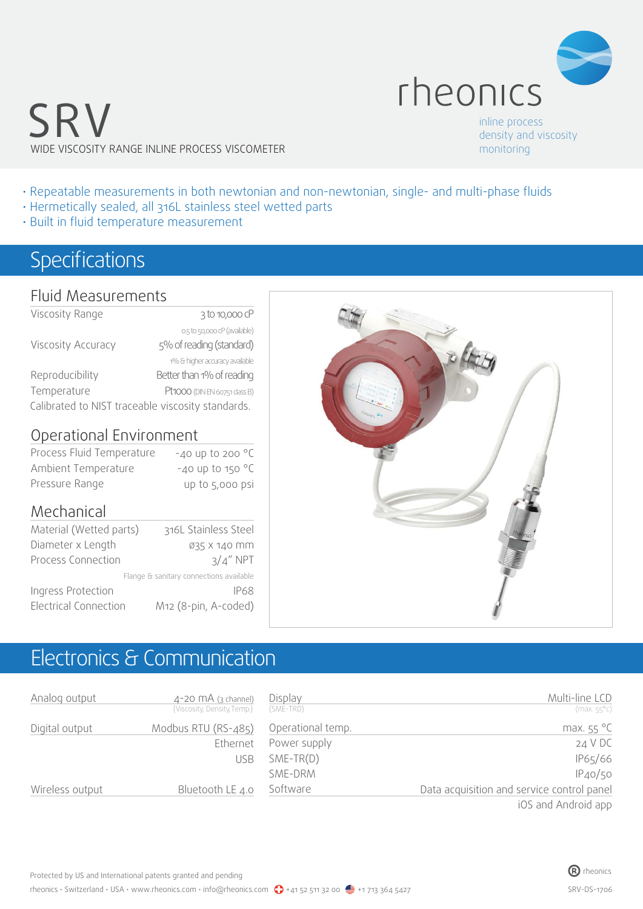

SRV WIDE VISCOSITY RANGE INLINE PROCESS VISCOMETER

inline process density and viscosity monitoring

- Repeatable measurements in both newtonian and non-newtonian, single- and multi-phase fluids
- Hermetically sealed, all 316L stainless steel wetted parts
- Built in fluid temperature measurement

### Specifications

#### Fluid Measurements

| Viscosity Range                                   | 3 to 10,000 cP                 |  |  |
|---------------------------------------------------|--------------------------------|--|--|
|                                                   | 0.5 to 50,000 cP (available)   |  |  |
| Viscosity Accuracy                                | 5% of reading (standard)       |  |  |
|                                                   | 1% & higher accuracy available |  |  |
| Reproducibility                                   | Better than 1% of reading      |  |  |
| Temperature                                       | Pt1000 (DIN EN 60751 class B)  |  |  |
| Calibrated to NIST traceable viscosity standards. |                                |  |  |
|                                                   |                                |  |  |

#### Operational Environment

| Process Fluid Temperature | -40 up to 200 $^{\circ}$ C   |
|---------------------------|------------------------------|
| Ambient Temperature       | $-40$ up to 150 $^{\circ}$ C |
| Pressure Range            | up to 5,000 psi              |

#### Mechanical

|                              | 316L Stainless Steel                    |
|------------------------------|-----------------------------------------|
| Material (Wetted parts)      |                                         |
| Diameter x Length            | 035 X 140 MM                            |
| Process Connection           | $3/4''$ NPT                             |
|                              | Flange & sanitary connections available |
| Ingress Protection           | IP68                                    |
| <b>Electrical Connection</b> | M12 (8-pin, A-coded)                    |



### Electronics & Communication

| Analog output   | $4-20$ MA (3 channel)<br>{Viscosity, Density, Temp.} | Display<br>(SME-TRD) | Multi-line LCD<br>$(max.55^{\circ}c)$                                                                                                                                                                                                                                                                              |
|-----------------|------------------------------------------------------|----------------------|--------------------------------------------------------------------------------------------------------------------------------------------------------------------------------------------------------------------------------------------------------------------------------------------------------------------|
| Digital output  | Modbus RTU (RS-485)                                  | Operational temp.    | max. $55^{\circ}$ C                                                                                                                                                                                                                                                                                                |
|                 | Ethernet                                             | Power supply         | 24 V DC                                                                                                                                                                                                                                                                                                            |
|                 | <b>USB</b>                                           | $SME-TR(D)$          | IP65/66                                                                                                                                                                                                                                                                                                            |
|                 |                                                      | SME-DRM              | IP40/50                                                                                                                                                                                                                                                                                                            |
| Wireless output | Bluetooth LE 4.0                                     | Software             | Data acquisition and service control panel                                                                                                                                                                                                                                                                         |
|                 |                                                      |                      | $\sqrt{2}$ $\sqrt{2}$ $\sqrt{2}$ $\sqrt{2}$ $\sqrt{2}$ $\sqrt{2}$ $\sqrt{2}$ $\sqrt{2}$ $\sqrt{2}$ $\sqrt{2}$ $\sqrt{2}$ $\sqrt{2}$ $\sqrt{2}$ $\sqrt{2}$ $\sqrt{2}$ $\sqrt{2}$ $\sqrt{2}$ $\sqrt{2}$ $\sqrt{2}$ $\sqrt{2}$ $\sqrt{2}$ $\sqrt{2}$ $\sqrt{2}$ $\sqrt{2}$ $\sqrt{2}$ $\sqrt{2}$ $\sqrt{2}$ $\sqrt{2$ |

iOS and Android app

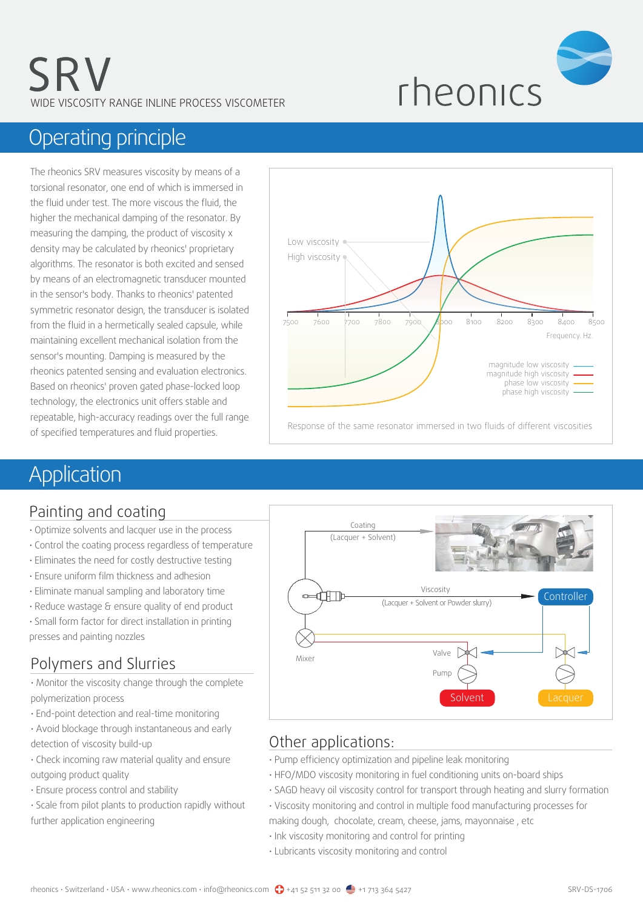

### Operating principle

The rheonics SRV measures viscosity by means of a torsional resonator, one end of which is immersed in the fluid under test. The more viscous the fluid, the higher the mechanical damping of the resonator. By measuring the damping, the product of viscosity x density may be calculated by rheonics' proprietary algorithms. The resonator is both excited and sensed by means of an electromagnetic transducer mounted in the sensor's body. Thanks to rheonics' patented symmetric resonator design, the transducer is isolated from the fluid in a hermetically sealed capsule, while maintaining excellent mechanical isolation from the sensor's mounting. Damping is measured by the rheonics patented sensing and evaluation electronics. Based on rheonics' proven gated phase-locked loop technology, the electronics unit offers stable and repeatable, high-accuracy readings over the full range of specified temperatures and fluid properties.



### Application

### Painting and coating

- Optimize solvents and lacquer use in the process
- Control the coating process regardless of temperature
- Eliminates the need for costly destructive testing
- Ensure uniform film thickness and adhesion
- Eliminate manual sampling and laboratory time
- Reduce wastage & ensure quality of end product

• Small form factor for direct installation in printing presses and painting nozzles

### Polymers and Slurries

• Monitor the viscosity change through the complete polymerization process

- End-point detection and real-time monitoring
- Avoid blockage through instantaneous and early detection of viscosity build-up
- Check incoming raw material quality and ensure outgoing product quality
- Ensure process control and stability
- Scale from pilot plants to production rapidly without further application engineering



### Other applications:

- Pump efficiency optimization and pipeline leak monitoring
- HFO/MDO viscosity monitoring in fuel conditioning units on-board ships
- SAGD heavy oil viscosity control for transport through heating and slurry formation
- Viscosity monitoring and control in multiple food manufacturing processes for making dough, chocolate, cream, cheese, jams, mayonnaise , etc
- Ink viscosity monitoring and control for printing
- Lubricants viscosity monitoring and control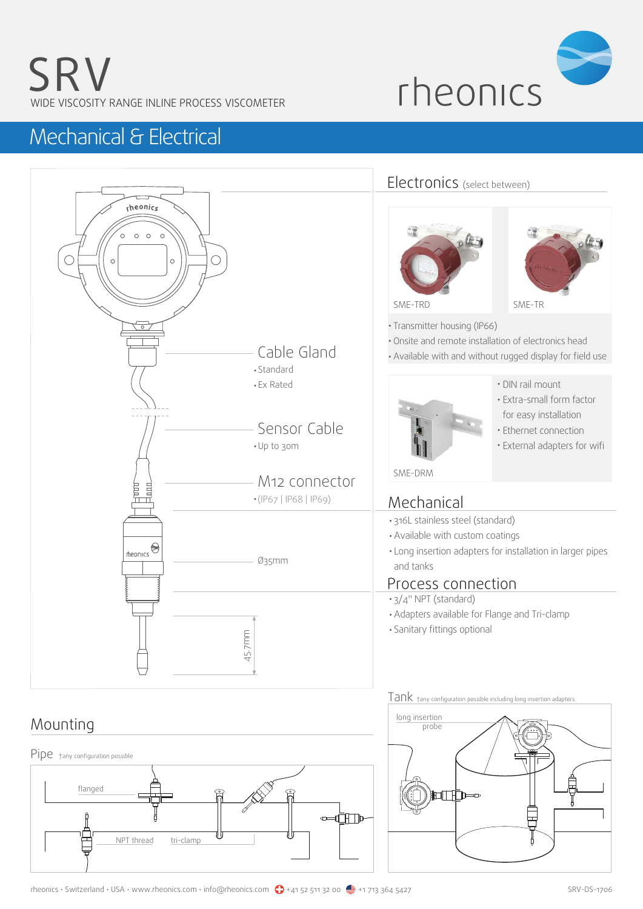

### Mechanical & Electrical



### Mounting



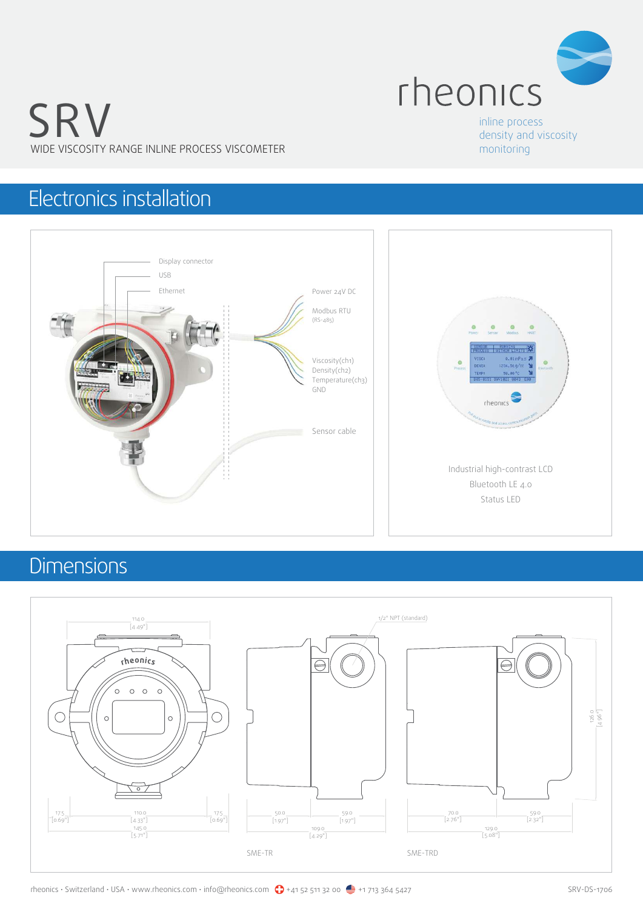

# SRV WIDE VISCOSITY RANGE INLINE PROCESS VISCOMETER

#### inline process density and viscosity monitoring

## Electronics installation



# **Dimensions**

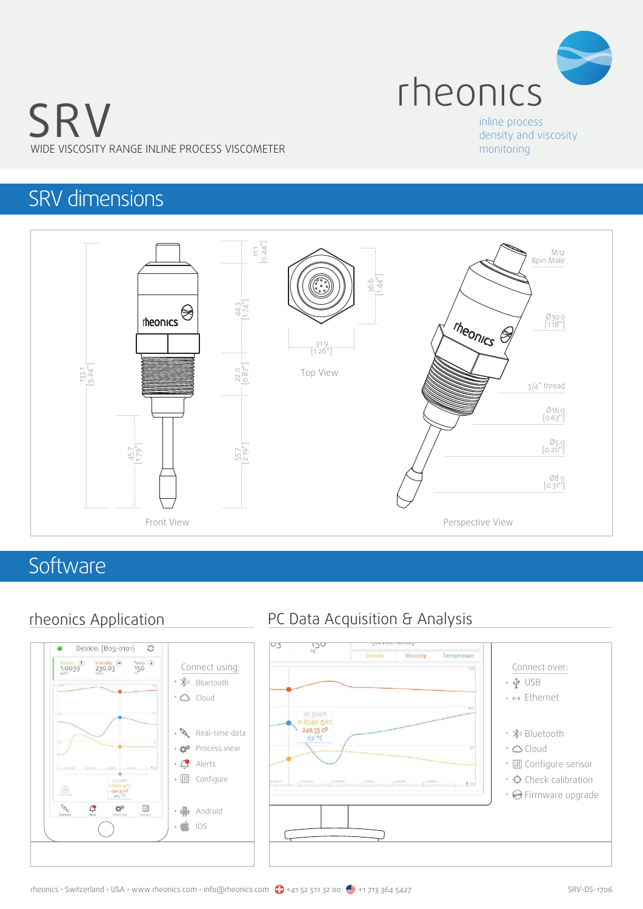

# SRV WIDE VISCOSITY RANGE INLINE PROCESS VISCOMETER

#### inline process density and viscosity monitoring

# SRV dimensions



### **Software**



### rheonics Application PC Data Acquisition & Analysis